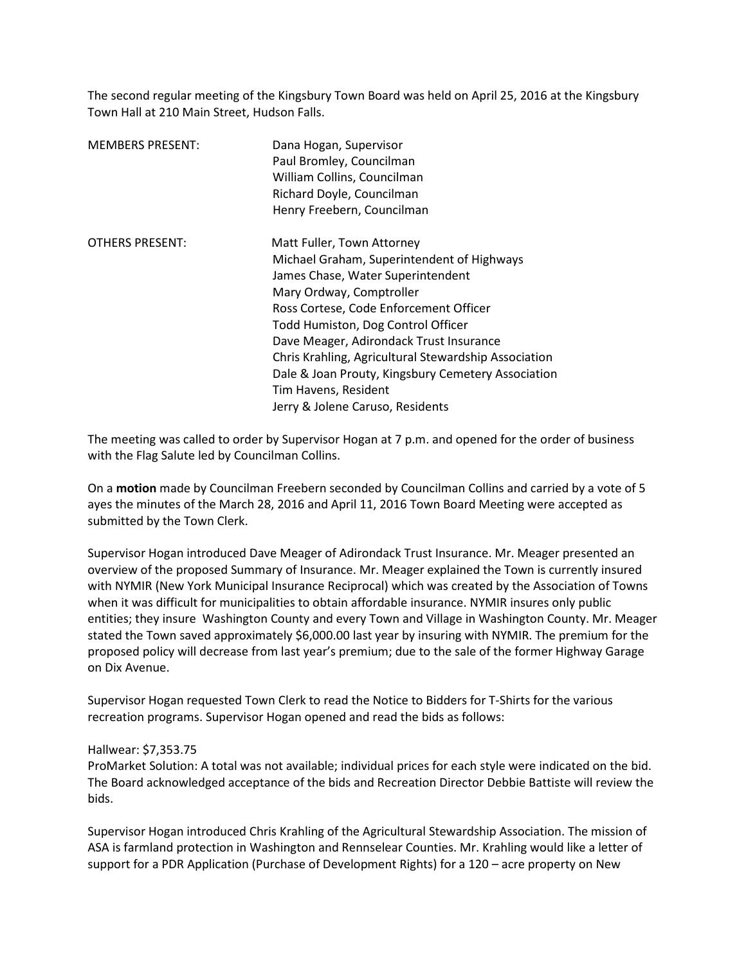The second regular meeting of the Kingsbury Town Board was held on April 25, 2016 at the Kingsbury Town Hall at 210 Main Street, Hudson Falls.

| <b>MEMBERS PRESENT:</b> | Dana Hogan, Supervisor<br>Paul Bromley, Councilman<br>William Collins, Councilman<br>Richard Doyle, Councilman<br>Henry Freebern, Councilman                                                                                                                                                                                                                                                                                                   |
|-------------------------|------------------------------------------------------------------------------------------------------------------------------------------------------------------------------------------------------------------------------------------------------------------------------------------------------------------------------------------------------------------------------------------------------------------------------------------------|
| <b>OTHERS PRESENT:</b>  | Matt Fuller, Town Attorney<br>Michael Graham, Superintendent of Highways<br>James Chase, Water Superintendent<br>Mary Ordway, Comptroller<br>Ross Cortese, Code Enforcement Officer<br>Todd Humiston, Dog Control Officer<br>Dave Meager, Adirondack Trust Insurance<br>Chris Krahling, Agricultural Stewardship Association<br>Dale & Joan Prouty, Kingsbury Cemetery Association<br>Tim Havens, Resident<br>Jerry & Jolene Caruso, Residents |

The meeting was called to order by Supervisor Hogan at 7 p.m. and opened for the order of business with the Flag Salute led by Councilman Collins.

On a **motion** made by Councilman Freebern seconded by Councilman Collins and carried by a vote of 5 ayes the minutes of the March 28, 2016 and April 11, 2016 Town Board Meeting were accepted as submitted by the Town Clerk.

Supervisor Hogan introduced Dave Meager of Adirondack Trust Insurance. Mr. Meager presented an overview of the proposed Summary of Insurance. Mr. Meager explained the Town is currently insured with NYMIR (New York Municipal Insurance Reciprocal) which was created by the Association of Towns when it was difficult for municipalities to obtain affordable insurance. NYMIR insures only public entities; they insure Washington County and every Town and Village in Washington County. Mr. Meager stated the Town saved approximately \$6,000.00 last year by insuring with NYMIR. The premium for the proposed policy will decrease from last year's premium; due to the sale of the former Highway Garage on Dix Avenue.

Supervisor Hogan requested Town Clerk to read the Notice to Bidders for T-Shirts for the various recreation programs. Supervisor Hogan opened and read the bids as follows:

## Hallwear: \$7,353.75

ProMarket Solution: A total was not available; individual prices for each style were indicated on the bid. The Board acknowledged acceptance of the bids and Recreation Director Debbie Battiste will review the bids.

Supervisor Hogan introduced Chris Krahling of the Agricultural Stewardship Association. The mission of ASA is farmland protection in Washington and Rennselear Counties. Mr. Krahling would like a letter of support for a PDR Application (Purchase of Development Rights) for a 120 – acre property on New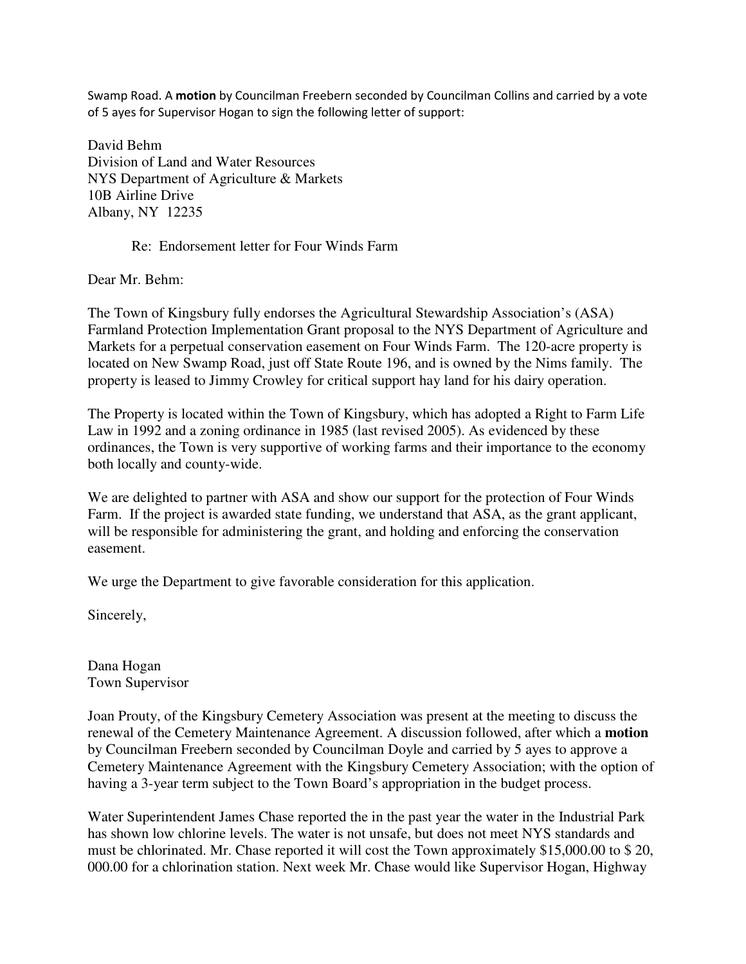Swamp Road. A **motion** by Councilman Freebern seconded by Councilman Collins and carried by a vote of 5 ayes for Supervisor Hogan to sign the following letter of support:

David Behm Division of Land and Water Resources NYS Department of Agriculture & Markets 10B Airline Drive Albany, NY 12235

## Re: Endorsement letter for Four Winds Farm

Dear Mr. Behm:

The Town of Kingsbury fully endorses the Agricultural Stewardship Association's (ASA) Farmland Protection Implementation Grant proposal to the NYS Department of Agriculture and Markets for a perpetual conservation easement on Four Winds Farm. The 120-acre property is located on New Swamp Road, just off State Route 196, and is owned by the Nims family. The property is leased to Jimmy Crowley for critical support hay land for his dairy operation.

The Property is located within the Town of Kingsbury, which has adopted a Right to Farm Life Law in 1992 and a zoning ordinance in 1985 (last revised 2005). As evidenced by these ordinances, the Town is very supportive of working farms and their importance to the economy both locally and county-wide.

We are delighted to partner with ASA and show our support for the protection of Four Winds Farm. If the project is awarded state funding, we understand that ASA, as the grant applicant, will be responsible for administering the grant, and holding and enforcing the conservation easement.

We urge the Department to give favorable consideration for this application.

Sincerely,

Dana Hogan Town Supervisor

Joan Prouty, of the Kingsbury Cemetery Association was present at the meeting to discuss the renewal of the Cemetery Maintenance Agreement. A discussion followed, after which a **motion** by Councilman Freebern seconded by Councilman Doyle and carried by 5 ayes to approve a Cemetery Maintenance Agreement with the Kingsbury Cemetery Association; with the option of having a 3-year term subject to the Town Board's appropriation in the budget process.

Water Superintendent James Chase reported the in the past year the water in the Industrial Park has shown low chlorine levels. The water is not unsafe, but does not meet NYS standards and must be chlorinated. Mr. Chase reported it will cost the Town approximately \$15,000.00 to \$ 20, 000.00 for a chlorination station. Next week Mr. Chase would like Supervisor Hogan, Highway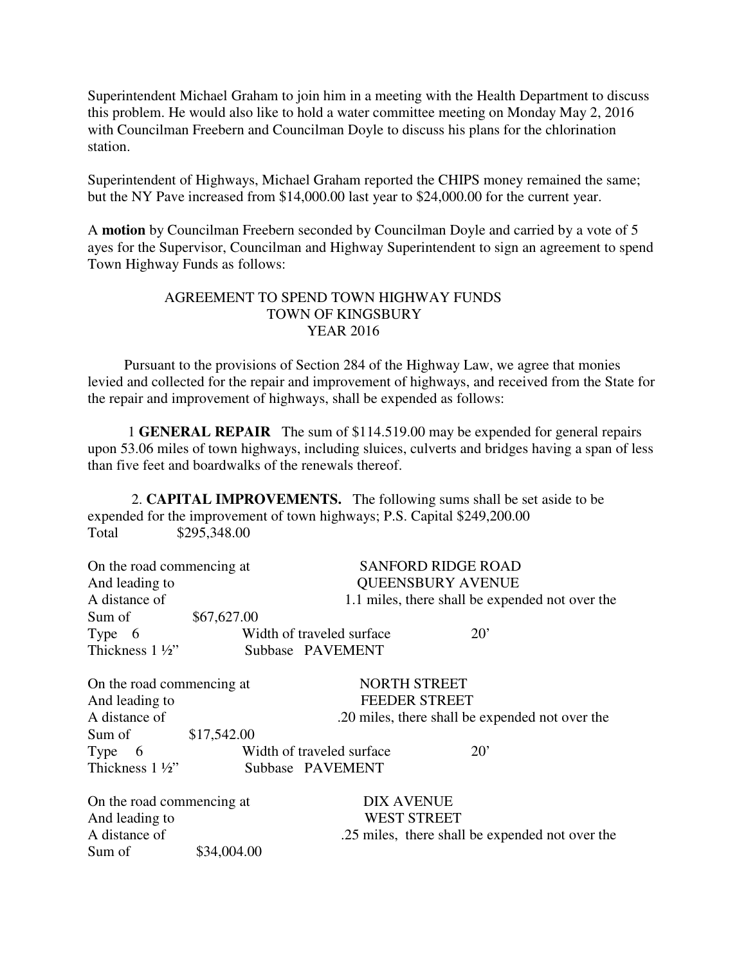Superintendent Michael Graham to join him in a meeting with the Health Department to discuss this problem. He would also like to hold a water committee meeting on Monday May 2, 2016 with Councilman Freebern and Councilman Doyle to discuss his plans for the chlorination station.

Superintendent of Highways, Michael Graham reported the CHIPS money remained the same; but the NY Pave increased from \$14,000.00 last year to \$24,000.00 for the current year.

A **motion** by Councilman Freebern seconded by Councilman Doyle and carried by a vote of 5 ayes for the Supervisor, Councilman and Highway Superintendent to sign an agreement to spend Town Highway Funds as follows:

## AGREEMENT TO SPEND TOWN HIGHWAY FUNDS TOWN OF KINGSBURY YEAR 2016

 Pursuant to the provisions of Section 284 of the Highway Law, we agree that monies levied and collected for the repair and improvement of highways, and received from the State for the repair and improvement of highways, shall be expended as follows:

 1 **GENERAL REPAIR** The sum of \$114.519.00 may be expended for general repairs upon 53.06 miles of town highways, including sluices, culverts and bridges having a span of less than five feet and boardwalks of the renewals thereof.

 2. **CAPITAL IMPROVEMENTS.** The following sums shall be set aside to be expended for the improvement of town highways; P.S. Capital \$249,200.00 Total \$295,348.00

| On the road commencing at |                          |                           | <b>SANFORD RIDGE ROAD</b>                       |  |
|---------------------------|--------------------------|---------------------------|-------------------------------------------------|--|
| And leading to            | <b>QUEENSBURY AVENUE</b> |                           |                                                 |  |
| A distance of             |                          |                           | 1.1 miles, there shall be expended not over the |  |
| Sum of                    | \$67,627.00              |                           |                                                 |  |
| Type 6                    |                          | Width of traveled surface | $20^{\circ}$                                    |  |
| Thickness $1\frac{1}{2}$  |                          | Subbase PAVEMENT          |                                                 |  |
|                           |                          |                           |                                                 |  |

On the road commencing at NORTH STREET And leading to FEEDER STREET A distance of .20 miles, there shall be expended not over the Sum of \$17,542.00 Type 6 Width of traveled surface 20'<br>Thickness 1 <sup>1</sup>/<sub>2</sub>" Subbase PAVEMENT Subbase PAVEMENT

On the road commencing at DIX AVENUE And leading to WEST STREET A distance of .25 miles, there shall be expended not over the Sum of  $$34,004,00$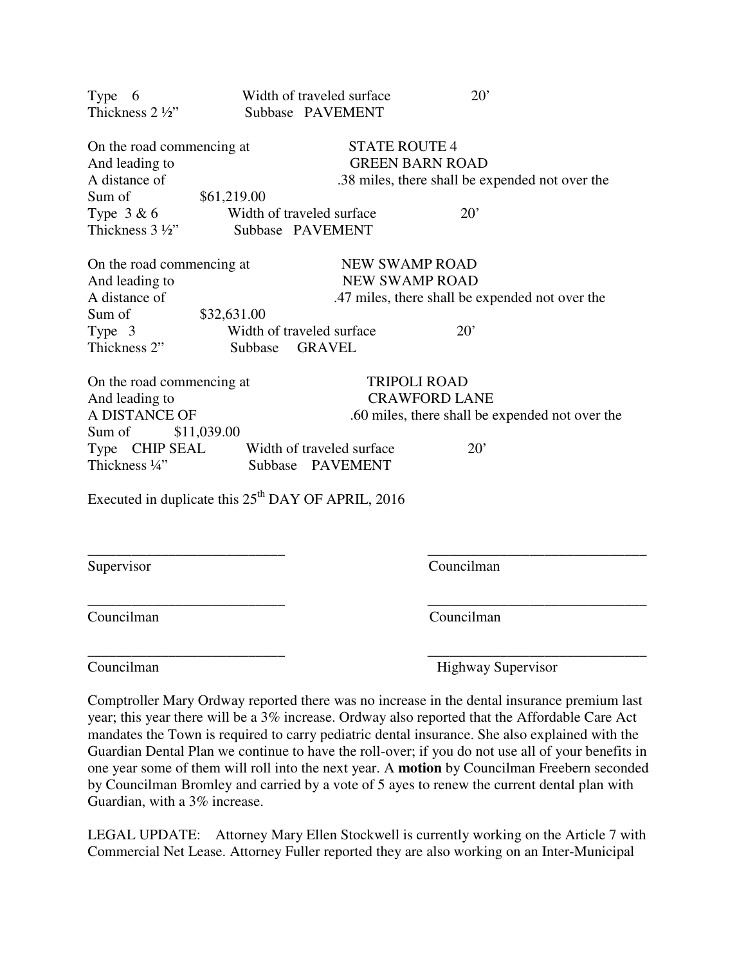| Type 6                                               |             | Width of traveled surface                       | 20'                                             |  |
|------------------------------------------------------|-------------|-------------------------------------------------|-------------------------------------------------|--|
| Thickness 2 1/2"                                     |             | Subbase PAVEMENT                                |                                                 |  |
| On the road commencing at                            |             | <b>STATE ROUTE 4</b>                            |                                                 |  |
| And leading to                                       |             |                                                 | <b>GREEN BARN ROAD</b>                          |  |
| A distance of                                        |             |                                                 | .38 miles, there shall be expended not over the |  |
| Sum of                                               | \$61,219.00 |                                                 |                                                 |  |
| Type $3 & 6$                                         |             | Width of traveled surface                       | $20^{\circ}$                                    |  |
| Thickness $3\frac{1}{2}$                             |             | Subbase PAVEMENT                                |                                                 |  |
| On the road commencing at                            |             | <b>NEW SWAMP ROAD</b>                           |                                                 |  |
| And leading to                                       |             | <b>NEW SWAMP ROAD</b>                           |                                                 |  |
| A distance of                                        |             |                                                 | .47 miles, there shall be expended not over the |  |
| Sum of                                               | \$32,631.00 |                                                 |                                                 |  |
| Type 3                                               |             | Width of traveled surface                       | $20^{\circ}$                                    |  |
| Thickness 2"                                         | Subbase     | <b>GRAVEL</b>                                   |                                                 |  |
| On the road commencing at                            |             |                                                 | <b>TRIPOLI ROAD</b>                             |  |
| And leading to                                       |             | <b>CRAWFORD LANE</b>                            |                                                 |  |
| A DISTANCE OF                                        |             | .60 miles, there shall be expended not over the |                                                 |  |
| Sum of                                               | \$11,039.00 |                                                 |                                                 |  |
| Type CHIP SEAL Width of traveled surface             |             |                                                 | $20^{\circ}$                                    |  |
| Thickness 1/4"                                       |             | Subbase PAVEMENT                                |                                                 |  |
| Executed in duplicate this $25th$ DAY OF APRIL, 2016 |             |                                                 |                                                 |  |

Supervisor Councilman

\_\_\_\_\_\_\_\_\_\_\_\_\_\_\_\_\_\_\_\_\_\_\_\_\_\_\_ \_\_\_\_\_\_\_\_\_\_\_\_\_\_\_\_\_\_\_\_\_\_\_\_\_\_\_\_\_\_ Councilman Councilman

\_\_\_\_\_\_\_\_\_\_\_\_\_\_\_\_\_\_\_\_\_\_\_\_\_\_\_ \_\_\_\_\_\_\_\_\_\_\_\_\_\_\_\_\_\_\_\_\_\_\_\_\_\_\_\_\_\_ Councilman Highway Supervisor

Comptroller Mary Ordway reported there was no increase in the dental insurance premium last year; this year there will be a 3% increase. Ordway also reported that the Affordable Care Act mandates the Town is required to carry pediatric dental insurance. She also explained with the Guardian Dental Plan we continue to have the roll-over; if you do not use all of your benefits in one year some of them will roll into the next year. A **motion** by Councilman Freebern seconded by Councilman Bromley and carried by a vote of 5 ayes to renew the current dental plan with Guardian, with a 3% increase.

\_\_\_\_\_\_\_\_\_\_\_\_\_\_\_\_\_\_\_\_\_\_\_\_\_\_\_ \_\_\_\_\_\_\_\_\_\_\_\_\_\_\_\_\_\_\_\_\_\_\_\_\_\_\_\_\_\_

LEGAL UPDATE: Attorney Mary Ellen Stockwell is currently working on the Article 7 with Commercial Net Lease. Attorney Fuller reported they are also working on an Inter-Municipal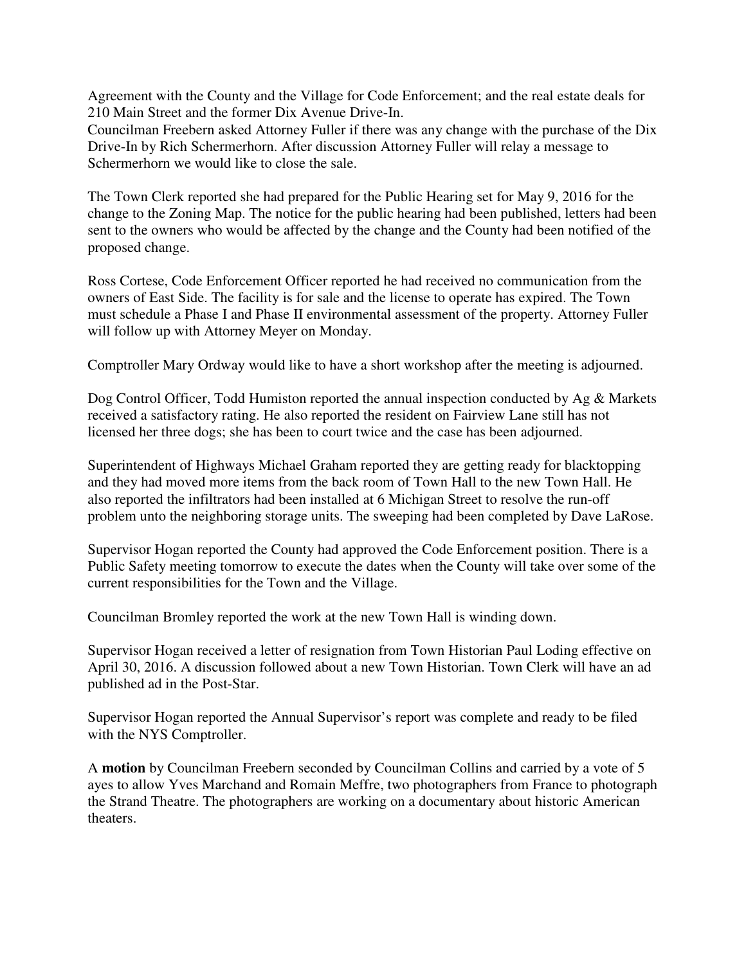Agreement with the County and the Village for Code Enforcement; and the real estate deals for 210 Main Street and the former Dix Avenue Drive-In.

Councilman Freebern asked Attorney Fuller if there was any change with the purchase of the Dix Drive-In by Rich Schermerhorn. After discussion Attorney Fuller will relay a message to Schermerhorn we would like to close the sale.

The Town Clerk reported she had prepared for the Public Hearing set for May 9, 2016 for the change to the Zoning Map. The notice for the public hearing had been published, letters had been sent to the owners who would be affected by the change and the County had been notified of the proposed change.

Ross Cortese, Code Enforcement Officer reported he had received no communication from the owners of East Side. The facility is for sale and the license to operate has expired. The Town must schedule a Phase I and Phase II environmental assessment of the property. Attorney Fuller will follow up with Attorney Meyer on Monday.

Comptroller Mary Ordway would like to have a short workshop after the meeting is adjourned.

Dog Control Officer, Todd Humiston reported the annual inspection conducted by Ag & Markets received a satisfactory rating. He also reported the resident on Fairview Lane still has not licensed her three dogs; she has been to court twice and the case has been adjourned.

Superintendent of Highways Michael Graham reported they are getting ready for blacktopping and they had moved more items from the back room of Town Hall to the new Town Hall. He also reported the infiltrators had been installed at 6 Michigan Street to resolve the run-off problem unto the neighboring storage units. The sweeping had been completed by Dave LaRose.

Supervisor Hogan reported the County had approved the Code Enforcement position. There is a Public Safety meeting tomorrow to execute the dates when the County will take over some of the current responsibilities for the Town and the Village.

Councilman Bromley reported the work at the new Town Hall is winding down.

Supervisor Hogan received a letter of resignation from Town Historian Paul Loding effective on April 30, 2016. A discussion followed about a new Town Historian. Town Clerk will have an ad published ad in the Post-Star.

Supervisor Hogan reported the Annual Supervisor's report was complete and ready to be filed with the NYS Comptroller.

A **motion** by Councilman Freebern seconded by Councilman Collins and carried by a vote of 5 ayes to allow Yves Marchand and Romain Meffre, two photographers from France to photograph the Strand Theatre. The photographers are working on a documentary about historic American theaters.